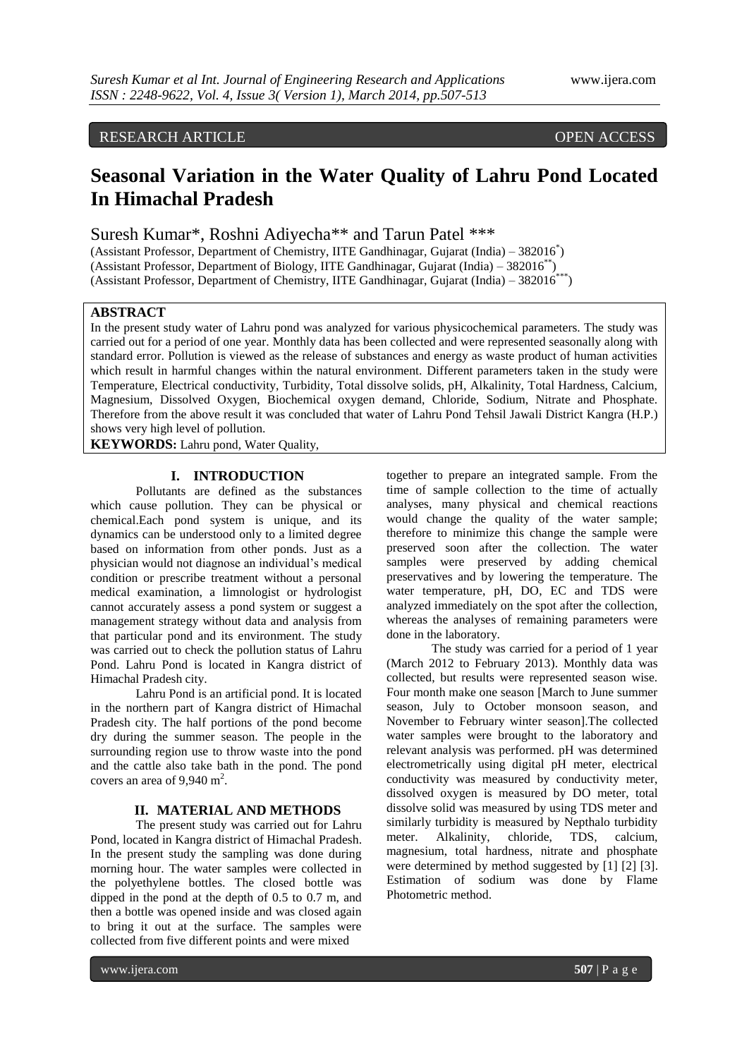# RESEARCH ARTICLE OPEN ACCESS

# **Seasonal Variation in the Water Quality of Lahru Pond Located In Himachal Pradesh**

Suresh Kumar\*, Roshni Adiyecha\*\* and Tarun Patel \*\*\*

(Assistant Professor, Department of Chemistry, IITE Gandhinagar, Gujarat (India) – 382016\* ) (Assistant Professor, Department of Biology, IITE Gandhinagar, Gujarat (India) – 382016<sup>\*\*</sup>) (Assistant Professor, Department of Chemistry, IITE Gandhinagar, Gujarat (India) – 382016\*\*\*)

# **ABSTRACT**

In the present study water of Lahru pond was analyzed for various physicochemical parameters. The study was carried out for a period of one year. Monthly data has been collected and were represented seasonally along with standard error. Pollution is viewed as the release of substances and energy as waste product of human activities which result in harmful changes within the natural environment. Different parameters taken in the study were Temperature, Electrical conductivity, Turbidity, Total dissolve solids, pH, Alkalinity, Total Hardness, Calcium, Magnesium, Dissolved Oxygen, Biochemical oxygen demand, Chloride, Sodium, Nitrate and Phosphate. Therefore from the above result it was concluded that water of Lahru Pond Tehsil Jawali District Kangra (H.P.) shows very high level of pollution.

**KEYWORDS:** Lahru pond, Water Quality,

# **I. INTRODUCTION**

Pollutants are defined as the substances which cause pollution. They can be physical or chemical.Each pond system is unique, and its dynamics can be understood only to a limited degree based on information from other ponds. Just as a physician would not diagnose an individual's medical condition or prescribe treatment without a personal medical examination, a limnologist or hydrologist cannot accurately assess a pond system or suggest a management strategy without data and analysis from that particular pond and its environment. The study was carried out to check the pollution status of Lahru Pond. Lahru Pond is located in Kangra district of Himachal Pradesh city.

Lahru Pond is an artificial pond. It is located in the northern part of Kangra district of Himachal Pradesh city. The half portions of the pond become dry during the summer season. The people in the surrounding region use to throw waste into the pond and the cattle also take bath in the pond. The pond covers an area of  $9,940 \text{ m}^2$ .

#### **II. MATERIAL AND METHODS**

The present study was carried out for Lahru Pond, located in Kangra district of Himachal Pradesh. In the present study the sampling was done during morning hour. The water samples were collected in the polyethylene bottles. The closed bottle was dipped in the pond at the depth of 0.5 to 0.7 m, and then a bottle was opened inside and was closed again to bring it out at the surface. The samples were collected from five different points and were mixed

together to prepare an integrated sample. From the time of sample collection to the time of actually analyses, many physical and chemical reactions would change the quality of the water sample; therefore to minimize this change the sample were preserved soon after the collection. The water samples were preserved by adding chemical preservatives and by lowering the temperature. The water temperature, pH, DO, EC and TDS were analyzed immediately on the spot after the collection, whereas the analyses of remaining parameters were done in the laboratory.

The study was carried for a period of 1 year (March 2012 to February 2013). Monthly data was collected, but results were represented season wise. Four month make one season [March to June summer season, July to October monsoon season, and November to February winter season].The collected water samples were brought to the laboratory and relevant analysis was performed. pH was determined electrometrically using digital pH meter, electrical conductivity was measured by conductivity meter, dissolved oxygen is measured by DO meter, total dissolve solid was measured by using TDS meter and similarly turbidity is measured by Nepthalo turbidity meter. Alkalinity, chloride, TDS, calcium, magnesium, total hardness, nitrate and phosphate were determined by method suggested by [1] [2] [3]. Estimation of sodium was done by Flame Photometric method.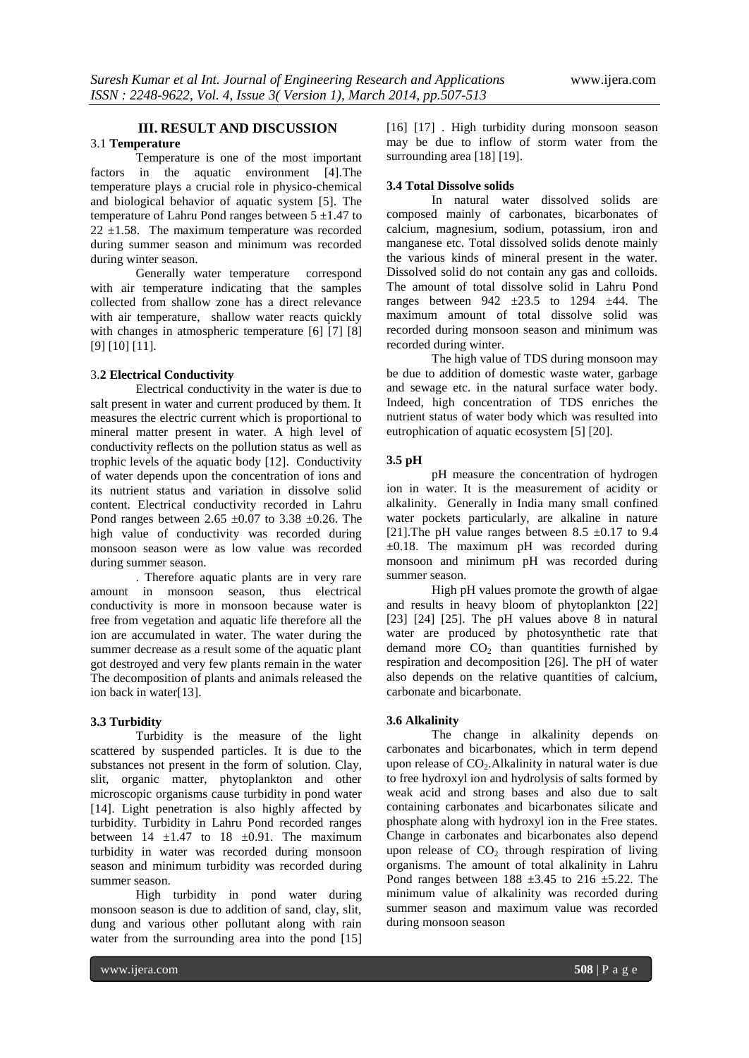# **III. RESULT AND DISCUSSION**

# 3.1 **Temperature**

Temperature is one of the most important factors in the aquatic environment [4].The temperature plays a crucial role in physico-chemical and biological behavior of aquatic system [5]. The temperature of Lahru Pond ranges between  $5 \pm 1.47$  to  $22 \pm 1.58$ . The maximum temperature was recorded during summer season and minimum was recorded during winter season.

Generally water temperature correspond with air temperature indicating that the samples collected from shallow zone has a direct relevance with air temperature, shallow water reacts quickly with changes in atmospheric temperature [6] [7] [8] [9] [10] [11].

#### 3.**2 Electrical Conductivity**

Electrical conductivity in the water is due to salt present in water and current produced by them. It measures the electric current which is proportional to mineral matter present in water. A high level of conductivity reflects on the pollution status as well as trophic levels of the aquatic body [12]. Conductivity of water depends upon the concentration of ions and its nutrient status and variation in dissolve solid content. Electrical conductivity recorded in Lahru Pond ranges between 2.65  $\pm 0.07$  to 3.38  $\pm 0.26$ . The high value of conductivity was recorded during monsoon season were as low value was recorded during summer season.

. Therefore aquatic plants are in very rare amount in monsoon season, thus electrical conductivity is more in monsoon because water is free from vegetation and aquatic life therefore all the ion are accumulated in water. The water during the summer decrease as a result some of the aquatic plant got destroyed and very few plants remain in the water The decomposition of plants and animals released the ion back in water[13].

#### **3.3 Turbidity**

Turbidity is the measure of the light scattered by suspended particles. It is due to the substances not present in the form of solution. Clay, slit, organic matter, phytoplankton and other microscopic organisms cause turbidity in pond water [14]. Light penetration is also highly affected by turbidity. Turbidity in Lahru Pond recorded ranges between  $14 \pm 1.47$  to  $18 \pm 0.91$ . The maximum turbidity in water was recorded during monsoon season and minimum turbidity was recorded during summer season.

High turbidity in pond water during monsoon season is due to addition of sand, clay, slit, dung and various other pollutant along with rain water from the surrounding area into the pond [15]

[16] [17]. High turbidity during monsoon season may be due to inflow of storm water from the surrounding area [18] [19].

#### **3.4 Total Dissolve solids**

In natural water dissolved solids are composed mainly of carbonates, bicarbonates of calcium, magnesium, sodium, potassium, iron and manganese etc. Total dissolved solids denote mainly the various kinds of mineral present in the water. Dissolved solid do not contain any gas and colloids. The amount of total dissolve solid in Lahru Pond ranges between  $942 \pm 23.5$  to  $1294 \pm 44$ . The maximum amount of total dissolve solid was recorded during monsoon season and minimum was recorded during winter.

The high value of TDS during monsoon may be due to addition of domestic waste water, garbage and sewage etc. in the natural surface water body. Indeed, high concentration of TDS enriches the nutrient status of water body which was resulted into eutrophication of aquatic ecosystem [5] [20].

#### **3.5 pH**

pH measure the concentration of hydrogen ion in water. It is the measurement of acidity or alkalinity. Generally in India many small confined water pockets particularly, are alkaline in nature [21]. The pH value ranges between 8.5  $\pm$ 0.17 to 9.4  $\pm 0.18$ . The maximum pH was recorded during monsoon and minimum pH was recorded during summer season.

High pH values promote the growth of algae and results in heavy bloom of phytoplankton [22] [23] [24] [25]. The pH values above 8 in natural water are produced by photosynthetic rate that demand more  $CO<sub>2</sub>$  than quantities furnished by respiration and decomposition [26]. The pH of water also depends on the relative quantities of calcium, carbonate and bicarbonate.

## **3.6 Alkalinity**

The change in alkalinity depends on carbonates and bicarbonates, which in term depend upon release of  $CO<sub>2</sub>$ . Alkalinity in natural water is due to free hydroxyl ion and hydrolysis of salts formed by weak acid and strong bases and also due to salt containing carbonates and bicarbonates silicate and phosphate along with hydroxyl ion in the Free states. Change in carbonates and bicarbonates also depend upon release of  $CO<sub>2</sub>$  through respiration of living organisms. The amount of total alkalinity in Lahru Pond ranges between  $188 \pm 3.45$  to  $216 \pm 5.22$ . The minimum value of alkalinity was recorded during summer season and maximum value was recorded during monsoon season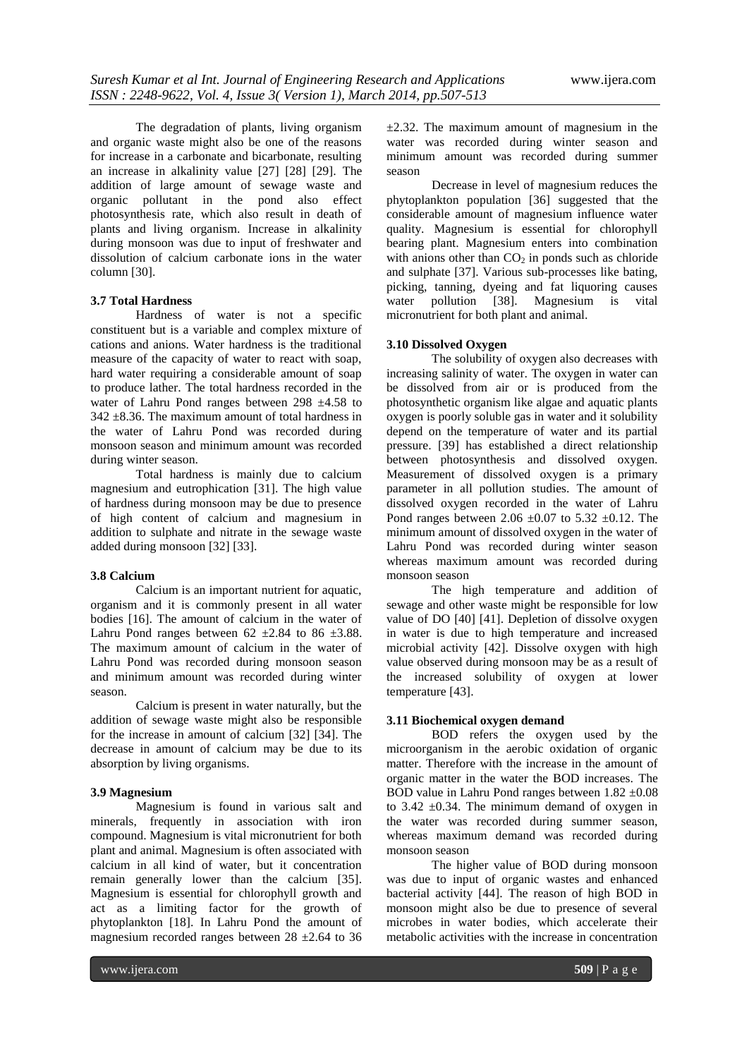The degradation of plants, living organism and organic waste might also be one of the reasons for increase in a carbonate and bicarbonate, resulting an increase in alkalinity value [27] [28] [29]. The addition of large amount of sewage waste and organic pollutant in the pond also effect photosynthesis rate, which also result in death of plants and living organism. Increase in alkalinity during monsoon was due to input of freshwater and dissolution of calcium carbonate ions in the water column [30].

#### **3.7 Total Hardness**

Hardness of water is not a specific constituent but is a variable and complex mixture of cations and anions. Water hardness is the traditional measure of the capacity of water to react with soap, hard water requiring a considerable amount of soap to produce lather. The total hardness recorded in the water of Lahru Pond ranges between 298  $\pm$ 4.58 to  $342 \pm 8.36$ . The maximum amount of total hardness in the water of Lahru Pond was recorded during monsoon season and minimum amount was recorded during winter season.

Total hardness is mainly due to calcium magnesium and eutrophication [31]. The high value of hardness during monsoon may be due to presence of high content of calcium and magnesium in addition to sulphate and nitrate in the sewage waste added during monsoon [32] [33].

#### **3.8 Calcium**

Calcium is an important nutrient for aquatic, organism and it is commonly present in all water bodies [16]. The amount of calcium in the water of Lahru Pond ranges between  $62 \pm 2.84$  to  $86 \pm 3.88$ . The maximum amount of calcium in the water of Lahru Pond was recorded during monsoon season and minimum amount was recorded during winter season.

Calcium is present in water naturally, but the addition of sewage waste might also be responsible for the increase in amount of calcium [32] [34]. The decrease in amount of calcium may be due to its absorption by living organisms.

#### **3.9 Magnesium**

Magnesium is found in various salt and minerals, frequently in association with iron compound. Magnesium is vital micronutrient for both plant and animal. Magnesium is often associated with calcium in all kind of water, but it concentration remain generally lower than the calcium [35]. Magnesium is essential for chlorophyll growth and act as a limiting factor for the growth of phytoplankton [18]. In Lahru Pond the amount of magnesium recorded ranges between 28 ±2.64 to 36  $\pm$ 2.32. The maximum amount of magnesium in the water was recorded during winter season and minimum amount was recorded during summer season

Decrease in level of magnesium reduces the phytoplankton population [36] suggested that the considerable amount of magnesium influence water quality. Magnesium is essential for chlorophyll bearing plant. Magnesium enters into combination with anions other than  $CO<sub>2</sub>$  in ponds such as chloride and sulphate [37]. Various sub-processes like bating, picking, tanning, dyeing and fat liquoring causes water pollution [38]. Magnesium is vital micronutrient for both plant and animal.

#### **3.10 Dissolved Oxygen**

The solubility of oxygen also decreases with increasing salinity of water. The oxygen in water can be dissolved from air or is produced from the photosynthetic organism like algae and aquatic plants oxygen is poorly soluble gas in water and it solubility depend on the temperature of water and its partial pressure. [39] has established a direct relationship between photosynthesis and dissolved oxygen. Measurement of dissolved oxygen is a primary parameter in all pollution studies. The amount of dissolved oxygen recorded in the water of Lahru Pond ranges between 2.06  $\pm$ 0.07 to 5.32  $\pm$ 0.12. The minimum amount of dissolved oxygen in the water of Lahru Pond was recorded during winter season whereas maximum amount was recorded during monsoon season

The high temperature and addition of sewage and other waste might be responsible for low value of DO [40] [41]. Depletion of dissolve oxygen in water is due to high temperature and increased microbial activity [42]. Dissolve oxygen with high value observed during monsoon may be as a result of the increased solubility of oxygen at lower temperature [43].

## **3.11 Biochemical oxygen demand**

BOD refers the oxygen used by the microorganism in the aerobic oxidation of organic matter. Therefore with the increase in the amount of organic matter in the water the BOD increases. The BOD value in Lahru Pond ranges between 1.82 ±0.08 to 3.42  $\pm$ 0.34. The minimum demand of oxygen in the water was recorded during summer season, whereas maximum demand was recorded during monsoon season

The higher value of BOD during monsoon was due to input of organic wastes and enhanced bacterial activity [44]. The reason of high BOD in monsoon might also be due to presence of several microbes in water bodies, which accelerate their metabolic activities with the increase in concentration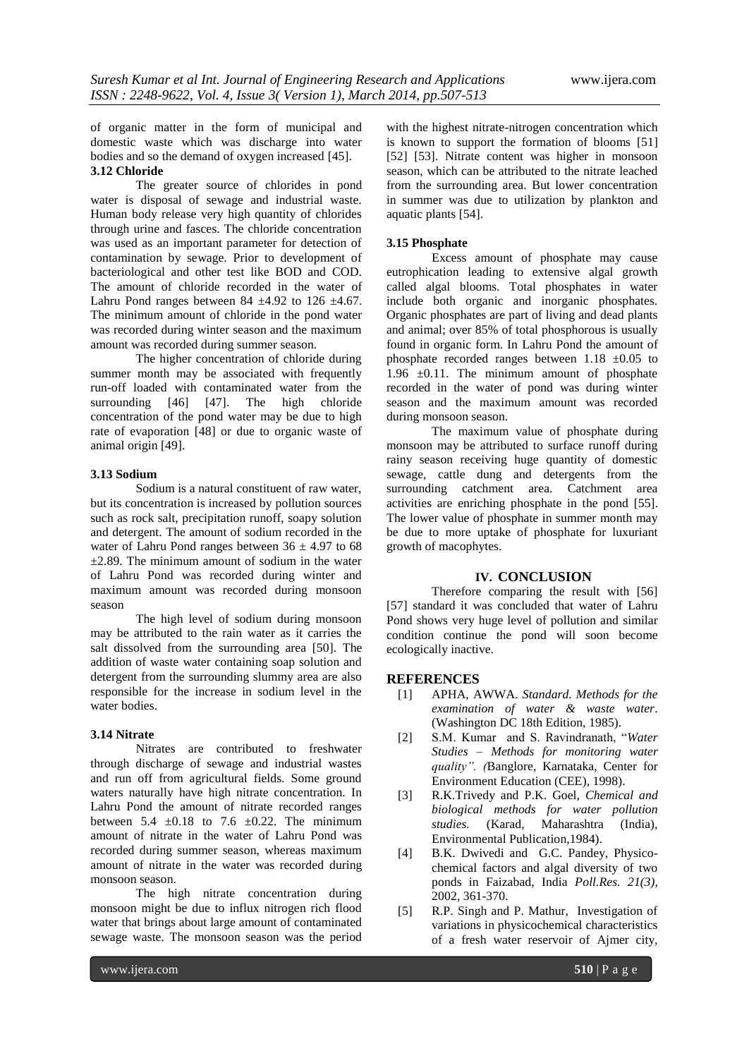of organic matter in the form of municipal and domestic waste which was discharge into water bodies and so the demand of oxygen increased [45]. **3.12 Chloride**

# The greater source of chlorides in pond water is disposal of sewage and industrial waste. Human body release very high quantity of chlorides through urine and fasces. The chloride concentration was used as an important parameter for detection of contamination by sewage. Prior to development of bacteriological and other test like BOD and COD. The amount of chloride recorded in the water of Lahru Pond ranges between 84  $\pm$ 4.92 to 126  $\pm$ 4.67. The minimum amount of chloride in the pond water was recorded during winter season and the maximum amount was recorded during summer season.

The higher concentration of chloride during summer month may be associated with frequently run-off loaded with contaminated water from the surrounding [46] [47]. The high chloride concentration of the pond water may be due to high rate of evaporation [48] or due to organic waste of animal origin [49].

## **3.13 Sodium**

Sodium is a natural constituent of raw water, but its concentration is increased by pollution sources such as rock salt, precipitation runoff, soapy solution and detergent. The amount of sodium recorded in the water of Lahru Pond ranges between  $36 \pm 4.97$  to 68  $\pm$ 2.89. The minimum amount of sodium in the water of Lahru Pond was recorded during winter and maximum amount was recorded during monsoon season

The high level of sodium during monsoon may be attributed to the rain water as it carries the salt dissolved from the surrounding area [50]. The addition of waste water containing soap solution and detergent from the surrounding slummy area are also responsible for the increase in sodium level in the water bodies.

## **3.14 Nitrate**

Nitrates are contributed to freshwater through discharge of sewage and industrial wastes and run off from agricultural fields. Some ground waters naturally have high nitrate concentration. In Lahru Pond the amount of nitrate recorded ranges between  $5.4 \pm 0.18$  to  $7.6 \pm 0.22$ . The minimum amount of nitrate in the water of Lahru Pond was recorded during summer season, whereas maximum amount of nitrate in the water was recorded during monsoon season.

The high nitrate concentration during monsoon might be due to influx nitrogen rich flood water that brings about large amount of contaminated sewage waste. The monsoon season was the period

with the highest nitrate-nitrogen concentration which is known to support the formation of blooms [51] [52] [53]. Nitrate content was higher in monsoon season, which can be attributed to the nitrate leached from the surrounding area. But lower concentration in summer was due to utilization by plankton and aquatic plants [54].

## **3.15 Phosphate**

Excess amount of phosphate may cause eutrophication leading to extensive algal growth called algal blooms. Total phosphates in water include both organic and inorganic phosphates. Organic phosphates are part of living and dead plants and animal; over 85% of total phosphorous is usually found in organic form. In Lahru Pond the amount of phosphate recorded ranges between  $1.18 \pm 0.05$  to 1.96  $\pm$ 0.11. The minimum amount of phosphate recorded in the water of pond was during winter season and the maximum amount was recorded during monsoon season.

The maximum value of phosphate during monsoon may be attributed to surface runoff during rainy season receiving huge quantity of domestic sewage, cattle dung and detergents from the surrounding catchment area. Catchment area activities are enriching phosphate in the pond [55]. The lower value of phosphate in summer month may be due to more uptake of phosphate for luxuriant growth of macophytes.

# **IV. CONCLUSION**

Therefore comparing the result with [56] [57] standard it was concluded that water of Lahru Pond shows very huge level of pollution and similar condition continue the pond will soon become ecologically inactive.

#### **REFERENCES**

- [1] APHA, AWWA. *Standard. Methods for the examination of water & waste water*. (Washington DC 18th Edition, 1985).
- [2] S.M. Kumar and S. Ravindranath, "*Water Studies – Methods for monitoring water quality". (*Banglore, Karnataka, Center for Environment Education (CEE), 1998).
- [3] R.K.Trivedy and P.K. Goel, *Chemical and biological methods for water pollution studies.* (Karad, Maharashtra (India), Environmental Publication,1984).
- [4] B.K. Dwivedi and G.C. Pandey, Physicochemical factors and algal diversity of two ponds in Faizabad, India *Poll.Res. 21(3)*, 2002, 361-370.
- [5] R.P. Singh and P. Mathur, Investigation of variations in physicochemical characteristics of a fresh water reservoir of Ajmer city,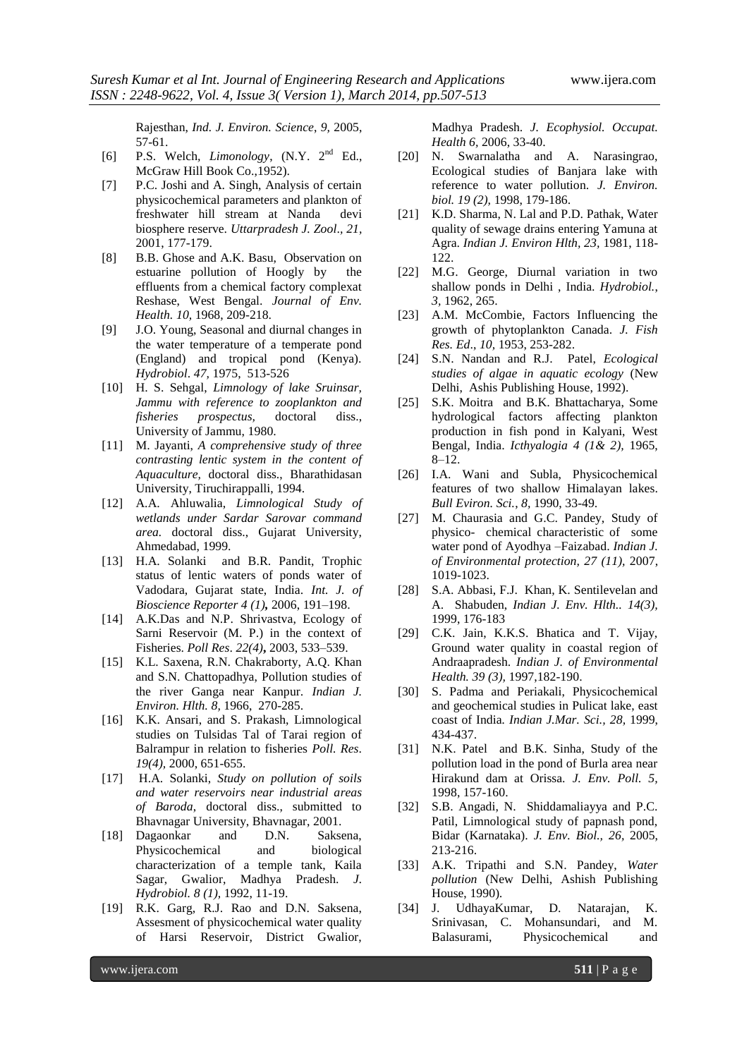Rajesthan, *Ind. J. Environ. Science*, *9,* 2005, 57-61.

- [6] P.S. Welch*, Limonology*, (N.Y. 2nd Ed., McGraw Hill Book Co.,1952).
- [7] P.C. Joshi and A. Singh, Analysis of certain physicochemical parameters and plankton of freshwater hill stream at Nanda devi biosphere reserve. *Uttarpradesh J. Zool*.*, 21,* 2001, 177-179.
- [8] B.B. Ghose and A.K. Basu, Observation on estuarine pollution of Hoogly by the effluents from a chemical factory complexat Reshase, West Bengal. *Journal of Env. Health. 10,* 1968, 209-218.
- [9] J.O. Young, Seasonal and diurnal changes in the water temperature of a temperate pond (England) and tropical pond (Kenya). *Hydrobiol*. *47,* 1975, 513-526
- [10] H. S. Sehgal, *Limnology of lake Sruinsar, Jammu with reference to zooplankton and fisheries prospectus,* doctoral diss., University of Jammu, 1980.
- [11] M. Jayanti, *A comprehensive study of three contrasting lentic system in the content of Aquaculture,* doctoral diss., Bharathidasan University, Tiruchirappalli, 1994.
- [12] A.A. Ahluwalia, *Limnological Study of wetlands under Sardar Sarovar command area.* doctoral diss., Gujarat University, Ahmedabad, 1999.
- [13] H.A. Solanki and B.R. Pandit, Trophic status of lentic waters of ponds water of Vadodara, Gujarat state, India. *Int. J. of Bioscience Reporter 4 (1),* 2006, 191–198.
- [14] A.K.Das and N.P. Shrivastva, Ecology of Sarni Reservoir (M. P.) in the context of Fisheries. *Poll Res*. *22(4)***,** 2003, 533–539.
- [15] K.L. Saxena, R.N. Chakraborty, A.Q. Khan and S.N. Chattopadhya, Pollution studies of the river Ganga near Kanpur. *Indian J. Environ. Hlth. 8,* 1966, 270-285.
- [16] K.K. Ansari, and S. Prakash, Limnological studies on Tulsidas Tal of Tarai region of Balrampur in relation to fisheries *Poll. Res*. *19(4),* 2000, 651-655.
- [17] H.A. Solanki, *Study on pollution of soils and water reservoirs near industrial areas of Baroda*, doctoral diss., submitted to Bhavnagar University, Bhavnagar, 2001.
- [18] Dagaonkar and D.N. Saksena, Physicochemical and biological characterization of a temple tank, Kaila Sagar, Gwalior, Madhya Pradesh. *J. Hydrobiol. 8 (1),* 1992, 11-19.
- [19] R.K. Garg, R.J. Rao and D.N. Saksena, Assesment of physicochemical water quality of Harsi Reservoir, District Gwalior,

Madhya Pradesh. *J. Ecophysiol. Occupat. Health 6,* 2006, 33-40.

- [20] N. Swarnalatha and A. Narasingrao, Ecological studies of Banjara lake with reference to water pollution. *J. Environ. biol. 19 (2),* 1998, 179-186.
- [21] K.D. Sharma, N. Lal and P.D. Pathak, Water quality of sewage drains entering Yamuna at Agra. *Indian J. Environ Hlth, 23,* 1981, 118- 122.
- [22] M.G. George, Diurnal variation in two shallow ponds in Delhi , India. *Hydrobiol.*, *3,* 1962, 265.
- [23] A.M. McCombie, Factors Influencing the growth of phytoplankton Canada. *J. Fish Res. Ed*., *10,* 1953, 253-282.
- [24] S.N. Nandan and R.J. Patel, *Ecological studies of algae in aquatic ecology* (New Delhi, Ashis Publishing House, 1992).
- [25] S.K. Moitra and B.K. Bhattacharya, Some hydrological factors affecting plankton production in fish pond in Kalyani, West Bengal, India. *Icthyalogia 4 (1& 2),* 1965, 8–12.
- [26] I.A. Wani and Subla, Physicochemical features of two shallow Himalayan lakes. *Bull Eviron. Sci.*, *8,* 1990, 33-49.
- [27] M. Chaurasia and G.C. Pandey, Study of physico- chemical characteristic of some water pond of Ayodhya –Faizabad. *Indian J. of Environmental protection, 27 (11),* 2007, 1019-1023.
- [28] S.A. Abbasi, F.J. Khan, K. Sentilevelan and A. Shabuden, *Indian J. Env. Hlth.. 14(3),* 1999, 176-183
- [29] C.K. Jain, K.K.S. Bhatica and T. Vijay, Ground water quality in coastal region of Andraapradesh. *Indian J. of Environmental Health. 39 (3),* 1997,182-190.
- [30] S. Padma and Periakali, Physicochemical and geochemical studies in Pulicat lake, east coast of India*. Indian J.Mar. Sci., 28,* 1999, 434-437.
- [31] N.K. Patel and B.K. Sinha, Study of the pollution load in the pond of Burla area near Hirakund dam at Orissa. *J. Env. Poll. 5,* 1998, 157-160.
- [32] S.B. Angadi, N. Shiddamaliayya and P.C. Patil, Limnological study of papnash pond, Bidar (Karnataka). *J. Env. Biol., 26,* 2005, 213-216.
- [33] A.K. Tripathi and S.N. Pandey, *Water pollution* (New Delhi, Ashish Publishing House, 1990)*.*
- [34] J. UdhayaKumar, D. Natarajan, K. Srinivasan, C. Mohansundari, and M. Balasurami, Physicochemical and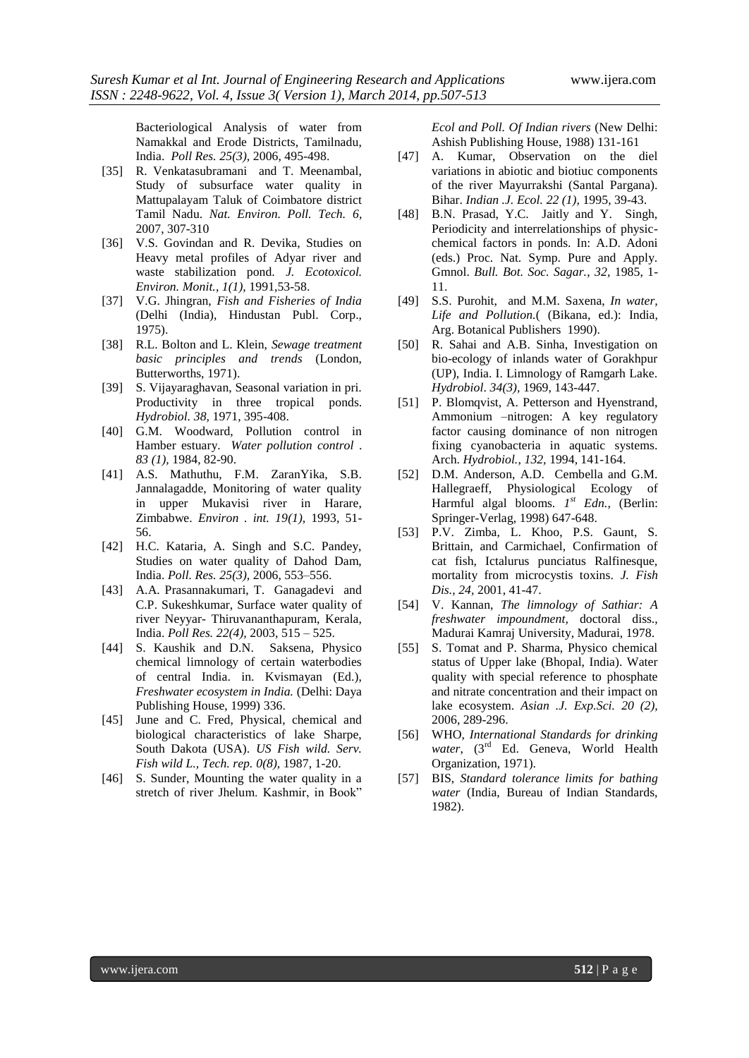Bacteriological Analysis of water from Namakkal and Erode Districts, Tamilnadu, India. *Poll Res. 25(3),* 2006, 495-498.

- [35] R. Venkatasubramani and T. Meenambal, Study of subsurface water quality in Mattupalayam Taluk of Coimbatore district Tamil Nadu. *Nat. Environ. Poll. Tech. 6,* 2007, 307-310
- [36] V.S. Govindan and R. Devika, Studies on Heavy metal profiles of Adyar river and waste stabilization pond. *J. Ecotoxicol. Environ. Monit.*, *1(1),* 1991,53-58.
- [37] V.G. Jhingran, *Fish and Fisheries of India* (Delhi (India), Hindustan Publ. Corp., 1975).
- [38] R.L. Bolton and L. Klein, *Sewage treatment basic principles and trends* (London, Butterworths, 1971).
- [39] S. Vijayaraghavan, Seasonal variation in pri. Productivity in three tropical ponds. *Hydrobiol. 38,* 1971, 395-408.
- [40] G.M. Woodward, Pollution control in Hamber estuary. *Water pollution control* . *83 (1),* 1984, 82-90.
- [41] A.S. Mathuthu, F.M. ZaranYika, S.B. Jannalagadde, Monitoring of water quality in upper Mukavisi river in Harare, Zimbabwe. *Environ . int. 19(1),* 1993, 51- 56.
- [42] H.C. Kataria, A. Singh and S.C. Pandey, Studies on water quality of Dahod Dam, India. *Poll. Res. 25(3),* 2006, 553–556.
- [43] A.A. Prasannakumari, T. Ganagadevi and C.P. Sukeshkumar, Surface water quality of river Neyyar- Thiruvananthapuram, Kerala, India. *Poll Res. 22(4),* 2003, 515 – 525.
- [44] S. Kaushik and D.N. Saksena, Physico chemical limnology of certain waterbodies of central India. in. Kvismayan (Ed.), *Freshwater ecosystem in India.* (Delhi: Daya Publishing House, 1999) 336.
- [45] June and C. Fred, Physical, chemical and biological characteristics of lake Sharpe, South Dakota (USA). *US Fish wild. Serv. Fish wild L., Tech. rep. 0(8),* 1987, 1-20.
- [46] S. Sunder, Mounting the water quality in a stretch of river Jhelum. Kashmir, in Book"

*Ecol and Poll. Of Indian rivers* (New Delhi: Ashish Publishing House, 1988) 131-161

- [47] A. Kumar, Observation on the diel variations in abiotic and biotiuc components of the river Mayurrakshi (Santal Pargana). Bihar. *Indian .J. Ecol. 22 (1),* 1995, 39-43.
- [48] B.N. Prasad, Y.C. Jaitly and Y. Singh, Periodicity and interrelationships of physicchemical factors in ponds. In: A.D. Adoni (eds.) Proc. Nat. Symp. Pure and Apply. Gmnol. *Bull. Bot. Soc. Sagar.*, *32,* 1985, 1- 11.
- [49] S.S. Purohit, and M.M. Saxena, *In water, Life and Pollution.*( (Bikana, ed.): India, Arg. Botanical Publishers 1990).
- [50] R. Sahai and A.B. Sinha, Investigation on bio-ecology of inlands water of Gorakhpur (UP), India. I. Limnology of Ramgarh Lake. *Hydrobiol*. *34(3),* 1969, 143-447.
- [51] P. Blomqvist, A. Petterson and Hyenstrand, Ammonium –nitrogen: A key regulatory factor causing dominance of non nitrogen fixing cyanobacteria in aquatic systems. Arch. *Hydrobiol.*, *132,* 1994, 141-164.
- [52] D.M. Anderson, A.D. Cembella and G.M. Hallegraeff, Physiological Ecology of Harmful algal blooms. *1 st Edn.,* (Berlin: Springer-Verlag, 1998) 647-648.
- [53] P.V. Zimba, L. Khoo, P.S. Gaunt, S. Brittain, and Carmichael, Confirmation of cat fish, Ictalurus punciatus Ralfinesque, mortality from microcystis toxins. *J. Fish Dis., 24,* 2001, 41-47.
- [54] V. Kannan, *The limnology of Sathiar: A freshwater impoundment,* doctoral diss., Madurai Kamraj University, Madurai, 1978.
- [55] S. Tomat and P. Sharma, Physico chemical status of Upper lake (Bhopal, India). Water quality with special reference to phosphate and nitrate concentration and their impact on lake ecosystem. *Asian .J. Exp.Sci. 20 (2),* 2006, 289-296.
- [56] WHO, *International Standards for drinking*  water, (3<sup>rd</sup> Ed. Geneva, World Health Organization, 1971).
- [57] BIS, *Standard tolerance limits for bathing water* (India, Bureau of Indian Standards, 1982).